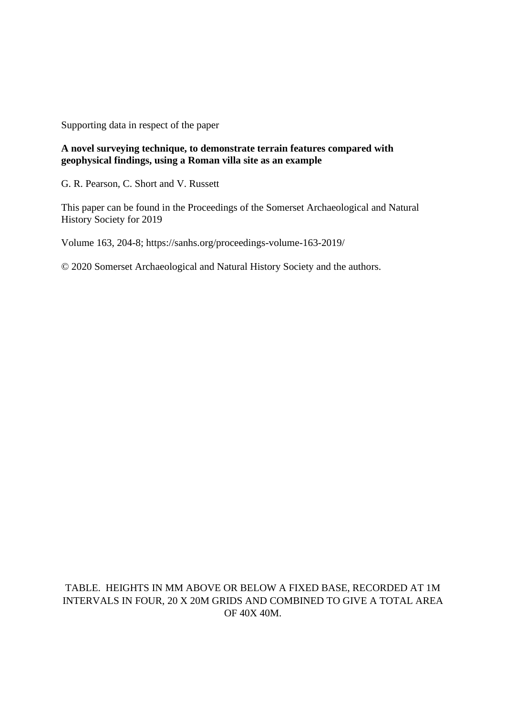Supporting data in respect of the paper

## **A novel surveying technique, to demonstrate terrain features compared with geophysical findings, using a Roman villa site as an example**

G. R. Pearson, C. Short and V. Russett

This paper can be found in the Proceedings of the Somerset Archaeological and Natural History Society for 2019

Volume 163, 204-8; https://sanhs.org/proceedings-volume-163-2019/

© 2020 Somerset Archaeological and Natural History Society and the authors.

TABLE. HEIGHTS IN MM ABOVE OR BELOW A FIXED BASE, RECORDED AT 1M INTERVALS IN FOUR, 20 X 20M GRIDS AND COMBINED TO GIVE A TOTAL AREA OF 40X 40M.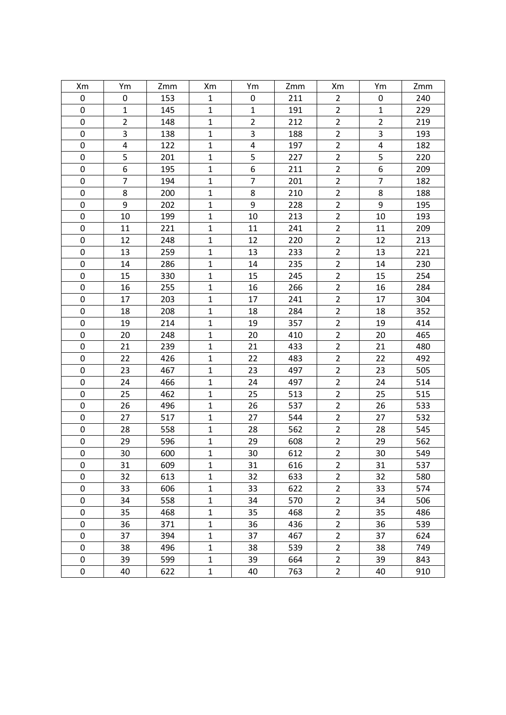| Xm          | Ym                      | Zmm | Xm             | Ym               | Zmm | Xm             | Ym             | Zmm |
|-------------|-------------------------|-----|----------------|------------------|-----|----------------|----------------|-----|
| 0           | 0                       | 153 | $\mathbf{1}$   | $\pmb{0}$        | 211 | $\overline{2}$ | 0              | 240 |
| 0           | $\mathbf{1}$            | 145 | $\mathbf{1}$   | $\mathbf 1$      | 191 | $\overline{2}$ | $\mathbf{1}$   | 229 |
| 0           | $\overline{2}$          | 148 | $\mathbf{1}$   | $\overline{2}$   | 212 | $\overline{2}$ | $\overline{2}$ | 219 |
| $\pmb{0}$   | 3                       | 138 | $\mathbf 1$    | 3                | 188 | $\overline{2}$ | 3              | 193 |
| 0           | $\overline{\mathbf{4}}$ | 122 | $\mathbf 1$    | $\pmb{4}$        | 197 | $\overline{2}$ | 4              | 182 |
| $\pmb{0}$   | 5                       | 201 | $\mathbf{1}$   | 5                | 227 | $\overline{2}$ | 5              | 220 |
| 0           | 6                       | 195 | $\mathbf 1$    | $\boldsymbol{6}$ | 211 | $\overline{2}$ | 6              | 209 |
| 0           | $\overline{7}$          | 194 | $\mathbf 1$    | $\overline{7}$   | 201 | $\overline{2}$ | $\overline{7}$ | 182 |
| $\pmb{0}$   | 8                       | 200 | $\mathbf{1}$   | $\bf 8$          | 210 | $\overline{2}$ | 8              | 188 |
| $\pmb{0}$   | 9                       | 202 | $\mathbf{1}$   | 9                | 228 | $\overline{2}$ | 9              | 195 |
| $\mathbf 0$ | 10                      | 199 | $\mathbf 1$    | 10               | 213 | $\mathbf 2$    | 10             | 193 |
| $\pmb{0}$   | 11                      | 221 | $\mathbf{1}$   | 11               | 241 | $\overline{2}$ | 11             | 209 |
| 0           | 12                      | 248 | $\mathbf 1$    | 12               | 220 | $\overline{c}$ | 12             | 213 |
| $\mathbf 0$ | 13                      | 259 | $\mathbf{1}$   | 13               | 233 | $\overline{2}$ | 13             | 221 |
| $\pmb{0}$   | 14                      | 286 | $\mathbf{1}$   | 14               | 235 | $\overline{2}$ | 14             | 230 |
| $\pmb{0}$   | 15                      | 330 | $\mathbf 1$    | 15               | 245 | $\overline{2}$ | 15             | 254 |
| $\mathbf 0$ | 16                      | 255 | $\mathbf{1}$   | 16               | 266 | $\overline{2}$ | 16             | 284 |
| $\pmb{0}$   | 17                      | 203 | $\mathbf{1}$   | 17               | 241 | $\overline{2}$ | 17             | 304 |
| 0           | 18                      | 208 | $\mathbf{1}$   | 18               | 284 | $\overline{2}$ | 18             | 352 |
| 0           | 19                      | 214 | $\mathbf 1$    | 19               | 357 | $\mathbf 2$    | 19             | 414 |
| 0           | 20                      | 248 | $\mathbf 1$    | 20               | 410 | $\overline{2}$ | 20             | 465 |
| $\mathsf 0$ | 21                      | 239 | $\mathbf{1}$   | 21               | 433 | $\overline{2}$ | 21             | 480 |
| $\pmb{0}$   | 22                      | 426 | $\mathbf{1}$   | 22               | 483 | $\overline{2}$ | 22             | 492 |
| 0           | 23                      | 467 | $\mathbf{1}$   | 23               | 497 | $\overline{2}$ | 23             | 505 |
| 0           | 24                      | 466 | $\mathbf{1}$   | 24               | 497 | $\mathbf 2$    | 24             | 514 |
| $\mathbf 0$ | 25                      | 462 | $\mathbf{1}$   | 25               | 513 | $\overline{2}$ | 25             | 515 |
| 0           | 26                      | 496 | $\mathbf{1}$   | 26               | 537 | $\overline{2}$ | 26             | 533 |
| 0           | 27                      | 517 | $\mathbf{1}$   | 27               | 544 | $\overline{2}$ | 27             | 532 |
| $\pmb{0}$   | 28                      | 558 | $\mathbf{1}$   | 28               | 562 | $\overline{2}$ | 28             | 545 |
| 0           | 29                      | 596 | $\mathbf 1$    | 29               | 608 | $\overline{c}$ | 29             | 562 |
| $\mathbf 0$ | 30                      | 600 | $\overline{1}$ | 30               | 612 | $\overline{2}$ | 30             | 549 |
| 0           | 31                      | 609 | 1              | 31               | 616 | $\overline{2}$ | 31             | 537 |
| 0           | 32                      | 613 | $\mathbf 1$    | 32               | 633 | $\overline{2}$ | 32             | 580 |
| 0           | 33                      | 606 | $\mathbf 1$    | 33               | 622 | $\overline{2}$ | 33             | 574 |
| 0           | 34                      | 558 | 1              | 34               | 570 | $\overline{2}$ | 34             | 506 |
| 0           | 35                      | 468 | $\mathbf 1$    | 35               | 468 | $\overline{2}$ | 35             | 486 |
| 0           | 36                      | 371 | 1              | 36               | 436 | $\overline{2}$ | 36             | 539 |
| $\pmb{0}$   | 37                      | 394 | $\mathbf 1$    | 37               | 467 | $\overline{2}$ | 37             | 624 |
| 0           | 38                      | 496 | $\mathbf 1$    | 38               | 539 | $\mathbf 2$    | 38             | 749 |
| 0           | 39                      | 599 | 1              | 39               | 664 | $\overline{2}$ | 39             | 843 |
| 0           | 40                      | 622 | $\mathbf 1$    | 40               | 763 | $\overline{2}$ | 40             | 910 |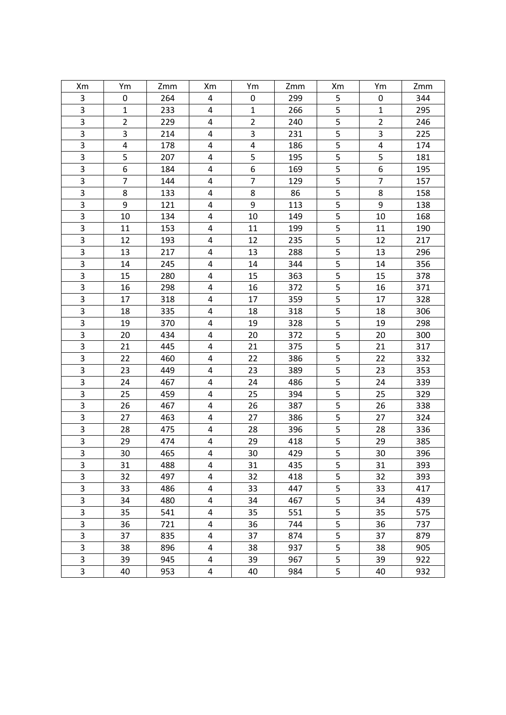| Xm             | Ym             | Zmm | Xm                      | Ym               | Zmm | Xm                      | Ym             | Zmm |
|----------------|----------------|-----|-------------------------|------------------|-----|-------------------------|----------------|-----|
| 3              | 0              | 264 | 4                       | $\pmb{0}$        | 299 | 5                       | 0              | 344 |
| $\overline{3}$ | $\mathbf{1}$   | 233 | $\overline{\mathbf{4}}$ | $\mathbf 1$      | 266 | 5                       | $\mathbf{1}$   | 295 |
| 3              | $\overline{2}$ | 229 | 4                       | $\overline{2}$   | 240 | 5                       | $\overline{2}$ | 246 |
| 3              | 3              | 214 | 4                       | 3                | 231 | 5                       | 3              | 225 |
| $\overline{3}$ | $\pmb{4}$      | 178 | 4                       | $\pmb{4}$        | 186 | 5                       | 4              | 174 |
| 3              | 5              | 207 | 4                       | 5                | 195 | 5                       | 5              | 181 |
| 3              | 6              | 184 | 4                       | $\boldsymbol{6}$ | 169 | 5                       | 6              | 195 |
| 3              | $\overline{7}$ | 144 | 4                       | $\overline{7}$   | 129 | 5                       | $\overline{7}$ | 157 |
| $\overline{3}$ | 8              | 133 | 4                       | $\bf 8$          | 86  | 5                       | 8              | 158 |
| 3              | 9              | 121 | 4                       | 9                | 113 | 5                       | 9              | 138 |
| $\overline{3}$ | 10             | 134 | 4                       | 10               | 149 | 5                       | 10             | 168 |
| $\overline{3}$ | 11             | 153 | 4                       | 11               | 199 | 5                       | 11             | 190 |
| 3              | 12             | 193 | 4                       | 12               | 235 | 5                       | 12             | 217 |
| $\overline{3}$ | 13             | 217 | $\overline{\mathbf{4}}$ | 13               | 288 | $\overline{\mathbf{5}}$ | 13             | 296 |
| 3              | 14             | 245 | 4                       | 14               | 344 | 5                       | 14             | 356 |
| 3              | 15             | 280 | 4                       | 15               | 363 | 5                       | 15             | 378 |
| $\overline{3}$ | 16             | 298 | $\overline{\mathbf{4}}$ | 16               | 372 | $\overline{\mathbf{5}}$ | 16             | 371 |
| $\overline{3}$ | 17             | 318 | 4                       | 17               | 359 | 5                       | 17             | 328 |
| $\overline{3}$ | 18             | 335 | 4                       | 18               | 318 | 5                       | 18             | 306 |
| 3              | 19             | 370 | 4                       | 19               | 328 | 5                       | 19             | 298 |
| 3              | 20             | 434 | 4                       | 20               | 372 | 5                       | 20             | 300 |
| 3              | 21             | 445 | 4                       | 21               | 375 | 5                       | 21             | 317 |
| $\overline{3}$ | 22             | 460 | $\overline{\mathbf{4}}$ | 22               | 386 | $\overline{\mathbf{5}}$ | 22             | 332 |
| $\overline{3}$ | 23             | 449 | 4                       | 23               | 389 | 5                       | 23             | 353 |
| 3              | 24             | 467 | 4                       | 24               | 486 | 5                       | 24             | 339 |
| 3              | 25             | 459 | $\overline{\mathbf{4}}$ | 25               | 394 | 5                       | 25             | 329 |
| $\overline{3}$ | 26             | 467 | 4                       | 26               | 387 | 5                       | 26             | 338 |
| 3              | 27             | 463 | 4                       | 27               | 386 | 5                       | 27             | 324 |
| 3              | 28             | 475 | 4                       | 28               | 396 | 5                       | 28             | 336 |
| $\overline{3}$ | 29             | 474 | 4                       | 29               | 418 | 5                       | 29             | 385 |
|                | 30             | 465 | 4                       | 30               | 429 | $\overline{5}$          | 30             | 396 |
| 3              | 31             | 488 | 4                       | 31               | 435 | 5                       | 31             | 393 |
| 3              | 32             | 497 | 4                       | 32               | 418 | 5                       | 32             | 393 |
| 3              | 33             | 486 | 4                       | 33               | 447 | 5                       | 33             | 417 |
| 3              | 34             | 480 | 4                       | 34               | 467 | 5                       | 34             | 439 |
| 3              | 35             | 541 | 4                       | 35               | 551 | 5                       | 35             | 575 |
| 3              | 36             | 721 | 4                       | 36               | 744 | 5                       | 36             | 737 |
| 3              | 37             | 835 | 4                       | 37               | 874 | 5                       | 37             | 879 |
| 3              | 38             | 896 | 4                       | 38               | 937 | 5                       | 38             | 905 |
| 3              | 39             | 945 | 4                       | 39               | 967 | 5                       | 39             | 922 |
| 3              | 40             | 953 | 4                       | 40               | 984 | 5                       | 40             | 932 |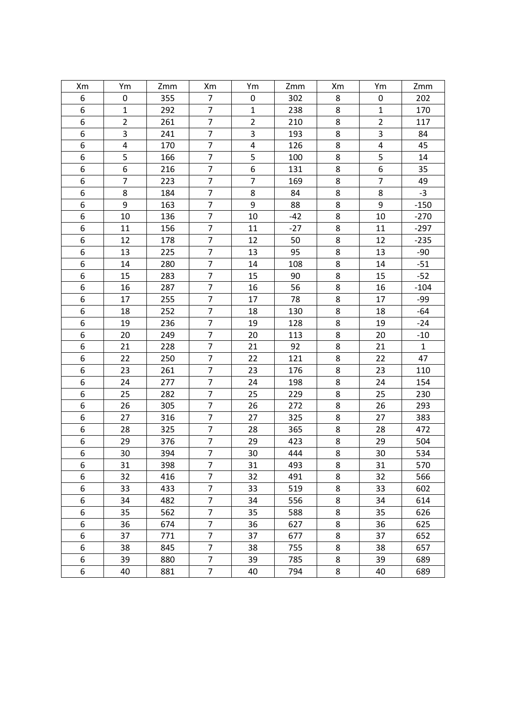| Xm             | Ym             | Zmm | Xm                       | Ym               | Zmm   | Xm             | Ym             | Zmm          |
|----------------|----------------|-----|--------------------------|------------------|-------|----------------|----------------|--------------|
| 6              | 0              | 355 | $\overline{7}$           | $\pmb{0}$        | 302   | 8              | 0              | 202          |
| 6              | $\mathbf{1}$   | 292 | $\overline{7}$           | $\mathbf 1$      | 238   | 8              | $\mathbf{1}$   | 170          |
| 6              | $\overline{2}$ | 261 | $\overline{7}$           | $\overline{2}$   | 210   | 8              | $\overline{2}$ | 117          |
| 6              | 3              | 241 | $\overline{7}$           | 3                | 193   | 8              | 3              | 84           |
| 6              | $\pmb{4}$      | 170 | $\overline{7}$           | $\pmb{4}$        | 126   | 8              | 4              | 45           |
| 6              | 5              | 166 | $\overline{7}$           | 5                | 100   | 8              | 5              | 14           |
| 6              | 6              | 216 | $\overline{7}$           | $\boldsymbol{6}$ | 131   | 8              | 6              | 35           |
| 6              | $\overline{7}$ | 223 | $\overline{\mathcal{I}}$ | $\overline{7}$   | 169   | 8              | $\overline{7}$ | 49           |
| 6              | 8              | 184 | $\overline{7}$           | 8                | 84    | 8              | 8              | $-3$         |
| 6              | 9              | 163 | $\overline{7}$           | $\boldsymbol{9}$ | 88    | 8              | 9              | $-150$       |
| 6              | $10\,$         | 136 | $\overline{7}$           | 10               | $-42$ | 8              | 10             | $-270$       |
| 6              | 11             | 156 | $\overline{7}$           | 11               | $-27$ | 8              | 11             | $-297$       |
| 6              | 12             | 178 | $\overline{7}$           | 12               | 50    | 8              | 12             | $-235$       |
| $\overline{6}$ | 13             | 225 | $\overline{7}$           | 13               | 95    | 8              | 13             | $-90$        |
| 6              | 14             | 280 | $\overline{7}$           | 14               | 108   | 8              | 14             | $-51$        |
| 6              | 15             | 283 | $\overline{7}$           | 15               | 90    | 8              | 15             | $-52$        |
| $\overline{6}$ | 16             | 287 | $\overline{7}$           | 16               | 56    | 8              | 16             | $-104$       |
| 6              | 17             | 255 | $\overline{7}$           | 17               | 78    | 8              | 17             | $-99$        |
| 6              | 18             | 252 | $\overline{7}$           | 18               | 130   | 8              | 18             | $-64$        |
| 6              | 19             | 236 | $\overline{7}$           | 19               | 128   | 8              | 19             | $-24$        |
| 6              | 20             | 249 | $\overline{7}$           | 20               | 113   | 8              | 20             | $-10$        |
| 6              | 21             | 228 | $\overline{7}$           | 21               | 92    | 8              | 21             | $\mathbf{1}$ |
| 6              | 22             | 250 | $\overline{7}$           | 22               | 121   | 8              | 22             | 47           |
| 6              | 23             | 261 | $\overline{7}$           | 23               | 176   | 8              | 23             | 110          |
| 6              | 24             | 277 | $\overline{7}$           | 24               | 198   | 8              | 24             | 154          |
| 6              | 25             | 282 | $\overline{7}$           | 25               | 229   | 8              | 25             | 230          |
| 6              | 26             | 305 | $\overline{7}$           | 26               | 272   | 8              | 26             | 293          |
| 6              | 27             | 316 | $\overline{7}$           | 27               | 325   | 8              | 27             | 383          |
| 6              | 28             | 325 | $\overline{7}$           | 28               | 365   | 8              | 28             | 472          |
| 6              | 29             | 376 | $\overline{7}$           | 29               | 423   | 8              | 29             | 504          |
| $\overline{6}$ | 30             | 394 | $\overline{7}$           | 30               | 444   | $\overline{8}$ | 30             | 534          |
| 6              | 31             | 398 | 7                        | 31               | 493   | 8              | 31             | 570          |
| 6              | 32             | 416 | $\overline{7}$           | 32               | 491   | 8              | 32             | 566          |
| 6              | 33             | 433 | $\overline{7}$           | 33               | 519   | 8              | 33             | 602          |
| 6              | 34             | 482 | 7                        | 34               | 556   | 8              | 34             | 614          |
| 6              | 35             | 562 | $\overline{7}$           | 35               | 588   | 8              | 35             | 626          |
| 6              | 36             | 674 | $\overline{7}$           | 36               | 627   | 8              | 36             | 625          |
| 6              | 37             | 771 | $\overline{7}$           | 37               | 677   | 8              | 37             | 652          |
| 6              | 38             | 845 | $\overline{7}$           | 38               | 755   | 8              | 38             | 657          |
| 6              | 39             | 880 | $\overline{7}$           | 39               | 785   | 8              | 39             | 689          |
| 6              | 40             | 881 | $\overline{7}$           | 40               | 794   | 8              | 40             | 689          |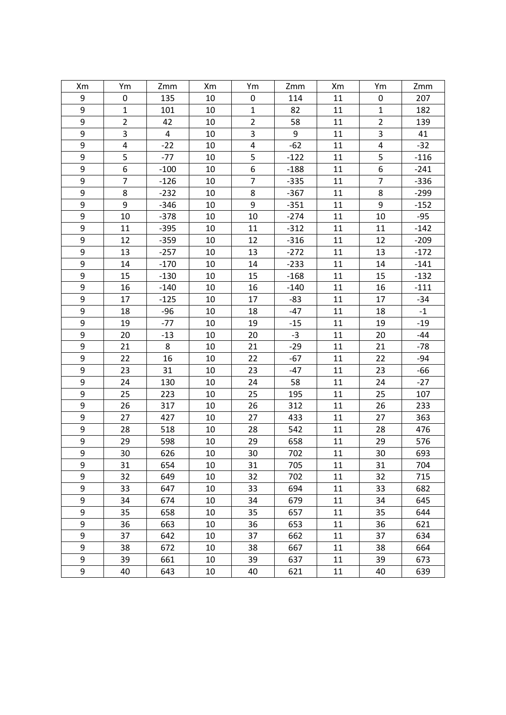| Xm               | Ym             | Zmm    | Xm | Ym               | Zmm              | Xm     | Ym             | Zmm    |
|------------------|----------------|--------|----|------------------|------------------|--------|----------------|--------|
| 9                | 0              | 135    | 10 | 0                | 114              | $11\,$ | 0              | 207    |
| 9                | $\mathbf{1}$   | 101    | 10 | $\mathbf{1}$     | 82               | 11     | $\mathbf{1}$   | 182    |
| 9                | $\overline{2}$ | 42     | 10 | $\overline{2}$   | 58               | 11     | $\overline{2}$ | 139    |
| 9                | 3              | 4      | 10 | 3                | $\boldsymbol{9}$ | 11     | 3              | 41     |
| 9                | 4              | $-22$  | 10 | 4                | $-62$            | 11     | 4              | $-32$  |
| 9                | 5              | $-77$  | 10 | 5                | $-122$           | 11     | 5              | $-116$ |
| 9                | 6              | $-100$ | 10 | 6                | $-188$           | 11     | 6              | $-241$ |
| 9                | $\overline{7}$ | $-126$ | 10 | $\overline{7}$   | $-335$           | 11     | $\overline{7}$ | $-336$ |
| 9                | 8              | $-232$ | 10 | 8                | $-367$           | 11     | 8              | $-299$ |
| $\boldsymbol{9}$ | 9              | $-346$ | 10 | $\boldsymbol{9}$ | $-351$           | 11     | 9              | $-152$ |
| $\overline{9}$   | 10             | $-378$ | 10 | 10               | $-274$           | 11     | 10             | $-95$  |
| 9                | 11             | $-395$ | 10 | 11               | $-312$           | 11     | 11             | $-142$ |
| $\boldsymbol{9}$ | 12             | $-359$ | 10 | 12               | $-316$           | 11     | 12             | $-209$ |
| 9                | 13             | $-257$ | 10 | 13               | $-272$           | 11     | 13             | $-172$ |
| 9                | 14             | $-170$ | 10 | 14               | $-233$           | 11     | 14             | $-141$ |
| 9                | 15             | $-130$ | 10 | 15               | $-168$           | 11     | 15             | $-132$ |
| 9                | 16             | $-140$ | 10 | 16               | $-140$           | 11     | 16             | $-111$ |
| 9                | 17             | $-125$ | 10 | 17               | $-83$            | 11     | 17             | $-34$  |
| $\boldsymbol{9}$ | 18             | $-96$  | 10 | 18               | $-47$            | 11     | 18             | $-1$   |
| $\boldsymbol{9}$ | 19             | $-77$  | 10 | 19               | $-15$            | 11     | 19             | $-19$  |
| 9                | 20             | $-13$  | 10 | 20               | $-3$             | 11     | 20             | $-44$  |
| $\boldsymbol{9}$ | 21             | 8      | 10 | 21               | $-29$            | 11     | 21             | $-78$  |
| $\overline{9}$   | 22             | 16     | 10 | 22               | $-67$            | 11     | 22             | $-94$  |
| 9                | 23             | 31     | 10 | 23               | $-47$            | 11     | 23             | $-66$  |
| 9                | 24             | 130    | 10 | 24               | 58               | 11     | 24             | $-27$  |
| 9                | 25             | 223    | 10 | 25               | 195              | 11     | 25             | 107    |
| 9                | 26             | 317    | 10 | 26               | 312              | 11     | 26             | 233    |
| $\boldsymbol{9}$ | 27             | 427    | 10 | 27               | 433              | 11     | 27             | 363    |
| 9                | 28             | 518    | 10 | 28               | 542              | $11\,$ | 28             | 476    |
| 9                | 29             | 598    | 10 | 29               | 658              | 11     | 29             | 576    |
| $\overline{9}$   | 30             | 626    | 10 | 30               | 702              | 11     | 30             | 693    |
| 9                | 31             | 654    | 10 | 31               | 705              | 11     | 31             | 704    |
| 9                | 32             | 649    | 10 | 32               | 702              | 11     | 32             | 715    |
| 9                | 33             | 647    | 10 | 33               | 694              | 11     | 33             | 682    |
| 9                | 34             | 674    | 10 | 34               | 679              | 11     | 34             | 645    |
| 9                | 35             | 658    | 10 | 35               | 657              | 11     | 35             | 644    |
| 9                | 36             | 663    | 10 | 36               | 653              | 11     | 36             | 621    |
| 9                | 37             | 642    | 10 | 37               | 662              | 11     | 37             | 634    |
| $\boldsymbol{9}$ | 38             | 672    | 10 | 38               | 667              | 11     | 38             | 664    |
| 9                | 39             | 661    | 10 | 39               | 637              | 11     | 39             | 673    |
| 9                | 40             | 643    | 10 | 40               | 621              | 11     | 40             | 639    |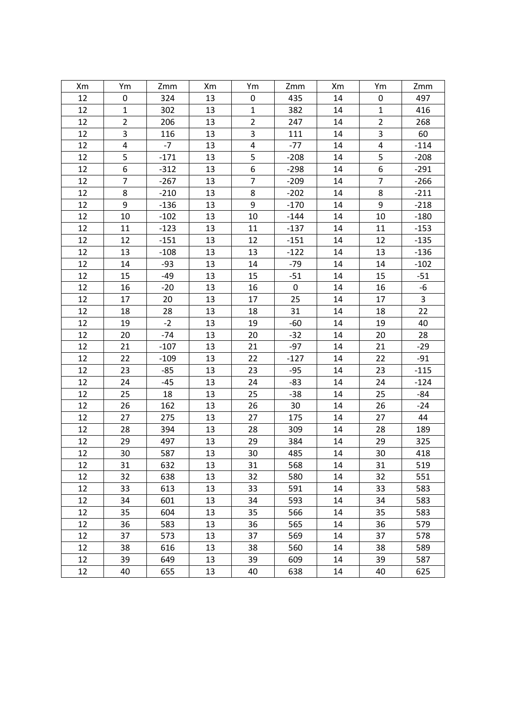| Xm | Ym             | Zmm    | Xm | Ym               | Zmm       | Xm | Ym             | Zmm    |
|----|----------------|--------|----|------------------|-----------|----|----------------|--------|
| 12 | 0              | 324    | 13 | 0                | 435       | 14 | 0              | 497    |
| 12 | $\mathbf{1}$   | 302    | 13 | $\mathbf{1}$     | 382       | 14 | $\mathbf{1}$   | 416    |
| 12 | $\overline{2}$ | 206    | 13 | $\overline{2}$   | 247       | 14 | $\overline{2}$ | 268    |
| 12 | 3              | 116    | 13 | 3                | 111       | 14 | $\mathsf{3}$   | 60     |
| 12 | 4              | $-7$   | 13 | 4                | $-77$     | 14 | 4              | $-114$ |
| 12 | 5              | $-171$ | 13 | 5                | $-208$    | 14 | 5              | $-208$ |
| 12 | 6              | $-312$ | 13 | 6                | $-298$    | 14 | 6              | $-291$ |
| 12 | $\overline{7}$ | $-267$ | 13 | $\overline{7}$   | $-209$    | 14 | $\overline{7}$ | $-266$ |
| 12 | 8              | $-210$ | 13 | 8                | $-202$    | 14 | 8              | $-211$ |
| 12 | 9              | $-136$ | 13 | $\boldsymbol{9}$ | $-170$    | 14 | 9              | $-218$ |
| 12 | 10             | $-102$ | 13 | 10               | $-144$    | 14 | 10             | $-180$ |
| 12 | 11             | $-123$ | 13 | 11               | $-137$    | 14 | 11             | $-153$ |
| 12 | 12             | $-151$ | 13 | 12               | $-151$    | 14 | 12             | $-135$ |
| 12 | 13             | $-108$ | 13 | 13               | $-122$    | 14 | 13             | $-136$ |
| 12 | 14             | $-93$  | 13 | 14               | $-79$     | 14 | 14             | $-102$ |
| 12 | 15             | $-49$  | 13 | 15               | $-51$     | 14 | 15             | $-51$  |
| 12 | 16             | $-20$  | 13 | 16               | $\pmb{0}$ | 14 | 16             | -6     |
| 12 | 17             | 20     | 13 | 17               | 25        | 14 | 17             | 3      |
| 12 | 18             | 28     | 13 | 18               | 31        | 14 | 18             | 22     |
| 12 | 19             | $-2$   | 13 | 19               | $-60$     | 14 | 19             | 40     |
| 12 | 20             | $-74$  | 13 | 20               | $-32$     | 14 | 20             | 28     |
| 12 | 21             | $-107$ | 13 | 21               | $-97$     | 14 | 21             | $-29$  |
| 12 | 22             | $-109$ | 13 | 22               | $-127$    | 14 | 22             | $-91$  |
| 12 | 23             | $-85$  | 13 | 23               | $-95$     | 14 | 23             | $-115$ |
| 12 | 24             | $-45$  | 13 | 24               | $-83$     | 14 | 24             | $-124$ |
| 12 | 25             | 18     | 13 | 25               | $-38$     | 14 | 25             | $-84$  |
| 12 | 26             | 162    | 13 | 26               | 30        | 14 | 26             | $-24$  |
| 12 | 27             | 275    | 13 | 27               | 175       | 14 | 27             | 44     |
| 12 | 28             | 394    | 13 | 28               | 309       | 14 | 28             | 189    |
| 12 | 29             | 497    | 13 | 29               | 384       | 14 | 29             | 325    |
| 12 | 30             | 587    | 13 | 30               | 485       | 14 | 30             | 418    |
| 12 | 31             | 632    | 13 | 31               | 568       | 14 | 31             | 519    |
| 12 | 32             | 638    | 13 | 32               | 580       | 14 | 32             | 551    |
| 12 | 33             | 613    | 13 | 33               | 591       | 14 | 33             | 583    |
| 12 | 34             | 601    | 13 | 34               | 593       | 14 | 34             | 583    |
| 12 | 35             | 604    | 13 | 35               | 566       | 14 | 35             | 583    |
| 12 | 36             | 583    | 13 | 36               | 565       | 14 | 36             | 579    |
| 12 | 37             | 573    | 13 | 37               | 569       | 14 | 37             | 578    |
| 12 | 38             | 616    | 13 | 38               | 560       | 14 | 38             | 589    |
| 12 | 39             | 649    | 13 | 39               | 609       | 14 | 39             | 587    |
| 12 | 40             | 655    | 13 | 40               | 638       | 14 | 40             | 625    |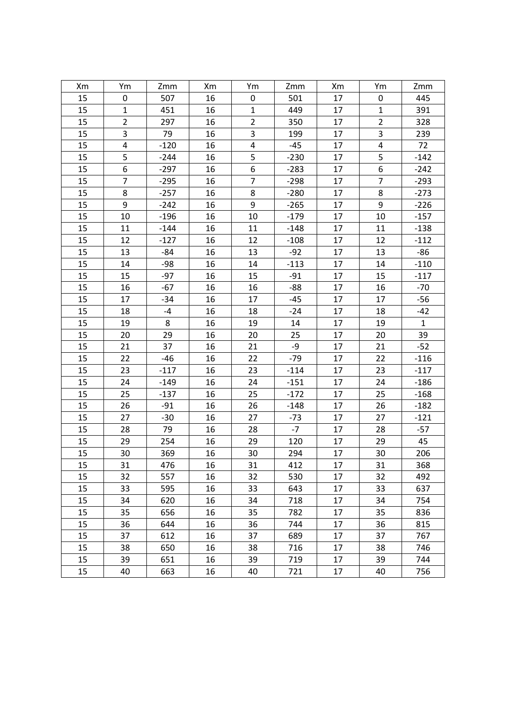| Xm | Ym             | Zmm    | Xm | Ym               | Zmm    | Xm     | Ym             | Zmm          |
|----|----------------|--------|----|------------------|--------|--------|----------------|--------------|
| 15 | 0              | 507    | 16 | $\pmb{0}$        | 501    | $17\,$ | 0              | 445          |
| 15 | $\mathbf{1}$   | 451    | 16 | $\mathbf 1$      | 449    | 17     | $\mathbf{1}$   | 391          |
| 15 | $\overline{2}$ | 297    | 16 | $\overline{2}$   | 350    | 17     | $\overline{2}$ | 328          |
| 15 | 3              | 79     | 16 | 3                | 199    | 17     | 3              | 239          |
| 15 | 4              | $-120$ | 16 | $\pmb{4}$        | $-45$  | 17     | 4              | 72           |
| 15 | 5              | $-244$ | 16 | 5                | $-230$ | 17     | 5              | $-142$       |
| 15 | 6              | $-297$ | 16 | $\boldsymbol{6}$ | $-283$ | 17     | 6              | $-242$       |
| 15 | $\overline{7}$ | $-295$ | 16 | $\overline{7}$   | $-298$ | 17     | $\overline{7}$ | $-293$       |
| 15 | 8              | $-257$ | 16 | $\bf 8$          | $-280$ | 17     | 8              | $-273$       |
| 15 | 9              | $-242$ | 16 | $\boldsymbol{9}$ | $-265$ | 17     | 9              | $-226$       |
| 15 | 10             | $-196$ | 16 | 10               | $-179$ | 17     | 10             | $-157$       |
| 15 | 11             | $-144$ | 16 | 11               | $-148$ | 17     | 11             | $-138$       |
| 15 | 12             | $-127$ | 16 | 12               | $-108$ | 17     | 12             | $-112$       |
| 15 | 13             | $-84$  | 16 | 13               | $-92$  | 17     | 13             | $-86$        |
| 15 | 14             | $-98$  | 16 | 14               | $-113$ | 17     | 14             | $-110$       |
| 15 | 15             | $-97$  | 16 | 15               | $-91$  | 17     | 15             | $-117$       |
| 15 | 16             | $-67$  | 16 | 16               | $-88$  | 17     | 16             | $-70$        |
| 15 | 17             | $-34$  | 16 | 17               | $-45$  | 17     | 17             | $-56$        |
| 15 | 18             | $-4$   | 16 | 18               | $-24$  | 17     | 18             | $-42$        |
| 15 | 19             | 8      | 16 | 19               | 14     | 17     | 19             | $\mathbf{1}$ |
| 15 | 20             | 29     | 16 | 20               | 25     | 17     | 20             | 39           |
| 15 | 21             | 37     | 16 | 21               | -9     | 17     | 21             | $-52$        |
| 15 | 22             | $-46$  | 16 | 22               | $-79$  | 17     | 22             | $-116$       |
| 15 | 23             | $-117$ | 16 | 23               | $-114$ | 17     | 23             | $-117$       |
| 15 | 24             | $-149$ | 16 | 24               | $-151$ | 17     | 24             | $-186$       |
| 15 | 25             | $-137$ | 16 | 25               | $-172$ | 17     | 25             | $-168$       |
| 15 | 26             | $-91$  | 16 | 26               | $-148$ | 17     | 26             | $-182$       |
| 15 | 27             | $-30$  | 16 | 27               | $-73$  | 17     | 27             | $-121$       |
| 15 | 28             | 79     | 16 | 28               | $-7$   | 17     | 28             | $-57$        |
| 15 | 29             | 254    | 16 | 29               | 120    | 17     | 29             | 45           |
| 15 | 30             | 369    | 16 | 30               | 294    | 17     | 30             | 206          |
| 15 | 31             | 476    | 16 | 31               | 412    | 17     | 31             | 368          |
| 15 | 32             | 557    | 16 | 32               | 530    | 17     | 32             | 492          |
| 15 | 33             | 595    | 16 | 33               | 643    | 17     | 33             | 637          |
| 15 | 34             | 620    | 16 | 34               | 718    | 17     | 34             | 754          |
| 15 | 35             | 656    | 16 | 35               | 782    | 17     | 35             | 836          |
| 15 | 36             | 644    | 16 | 36               | 744    | 17     | 36             | 815          |
| 15 | 37             | 612    | 16 | 37               | 689    | 17     | 37             | 767          |
| 15 | 38             | 650    | 16 | 38               | 716    | 17     | 38             | 746          |
| 15 | 39             | 651    | 16 | 39               | 719    | 17     | 39             | 744          |
| 15 | 40             | 663    | 16 | 40               | 721    | 17     | 40             | 756          |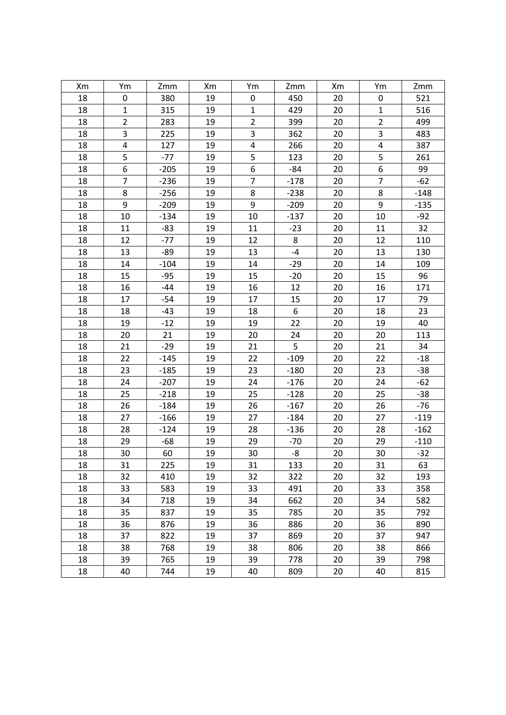| Xm | Ym             | Zmm    | Xm | Ym               | Zmm    | Xm | Ym             | Zmm    |
|----|----------------|--------|----|------------------|--------|----|----------------|--------|
| 18 | 0              | 380    | 19 | 0                | 450    | 20 | 0              | 521    |
| 18 | $\mathbf{1}$   | 315    | 19 | $\mathbf{1}$     | 429    | 20 | $\mathbf{1}$   | 516    |
| 18 | $\overline{2}$ | 283    | 19 | $\overline{2}$   | 399    | 20 | $\overline{2}$ | 499    |
| 18 | 3              | 225    | 19 | 3                | 362    | 20 | 3              | 483    |
| 18 | 4              | 127    | 19 | 4                | 266    | 20 | $\pmb{4}$      | 387    |
| 18 | 5              | $-77$  | 19 | 5                | 123    | 20 | 5              | 261    |
| 18 | 6              | $-205$ | 19 | 6                | $-84$  | 20 | 6              | 99     |
| 18 | $\overline{7}$ | $-236$ | 19 | $\overline{7}$   | $-178$ | 20 | $\overline{7}$ | $-62$  |
| 18 | 8              | $-256$ | 19 | 8                | $-238$ | 20 | 8              | $-148$ |
| 18 | 9              | $-209$ | 19 | $\boldsymbol{9}$ | $-209$ | 20 | 9              | $-135$ |
| 18 | 10             | $-134$ | 19 | 10               | $-137$ | 20 | 10             | $-92$  |
| 18 | 11             | $-83$  | 19 | 11               | $-23$  | 20 | 11             | 32     |
| 18 | 12             | $-77$  | 19 | 12               | 8      | 20 | 12             | 110    |
| 18 | 13             | $-89$  | 19 | 13               | $-4$   | 20 | 13             | 130    |
| 18 | 14             | $-104$ | 19 | 14               | $-29$  | 20 | 14             | 109    |
| 18 | 15             | $-95$  | 19 | 15               | $-20$  | 20 | 15             | 96     |
| 18 | 16             | $-44$  | 19 | 16               | 12     | 20 | 16             | 171    |
| 18 | 17             | $-54$  | 19 | 17               | 15     | 20 | 17             | 79     |
| 18 | 18             | $-43$  | 19 | 18               | 6      | 20 | 18             | 23     |
| 18 | 19             | $-12$  | 19 | 19               | 22     | 20 | 19             | 40     |
| 18 | 20             | 21     | 19 | 20               | 24     | 20 | 20             | 113    |
| 18 | 21             | $-29$  | 19 | 21               | 5      | 20 | 21             | 34     |
| 18 | 22             | $-145$ | 19 | 22               | $-109$ | 20 | 22             | $-18$  |
| 18 | 23             | $-185$ | 19 | 23               | $-180$ | 20 | 23             | $-38$  |
| 18 | 24             | $-207$ | 19 | 24               | $-176$ | 20 | 24             | $-62$  |
| 18 | 25             | $-218$ | 19 | 25               | $-128$ | 20 | 25             | $-38$  |
| 18 | 26             | $-184$ | 19 | 26               | $-167$ | 20 | 26             | $-76$  |
| 18 | 27             | $-166$ | 19 | 27               | $-184$ | 20 | 27             | $-119$ |
| 18 | 28             | $-124$ | 19 | 28               | $-136$ | 20 | 28             | $-162$ |
| 18 | 29             | -68    | 19 | 29               | $-70$  | 20 | 29             | $-110$ |
| 18 | 30             | 60     | 19 | 30               | -8     | 20 | 30             | $-32$  |
| 18 | 31             | 225    | 19 | 31               | 133    | 20 | 31             | 63     |
| 18 | 32             | 410    | 19 | 32               | 322    | 20 | 32             | 193    |
| 18 | 33             | 583    | 19 | 33               | 491    | 20 | 33             | 358    |
| 18 | 34             | 718    | 19 | 34               | 662    | 20 | 34             | 582    |
| 18 | 35             | 837    | 19 | 35               | 785    | 20 | 35             | 792    |
| 18 | 36             | 876    | 19 | 36               | 886    | 20 | 36             | 890    |
| 18 | 37             | 822    | 19 | 37               | 869    | 20 | 37             | 947    |
| 18 | 38             | 768    | 19 | 38               | 806    | 20 | 38             | 866    |
| 18 | 39             | 765    | 19 | 39               | 778    | 20 | 39             | 798    |
| 18 | 40             | 744    | 19 | 40               | 809    | 20 | 40             | 815    |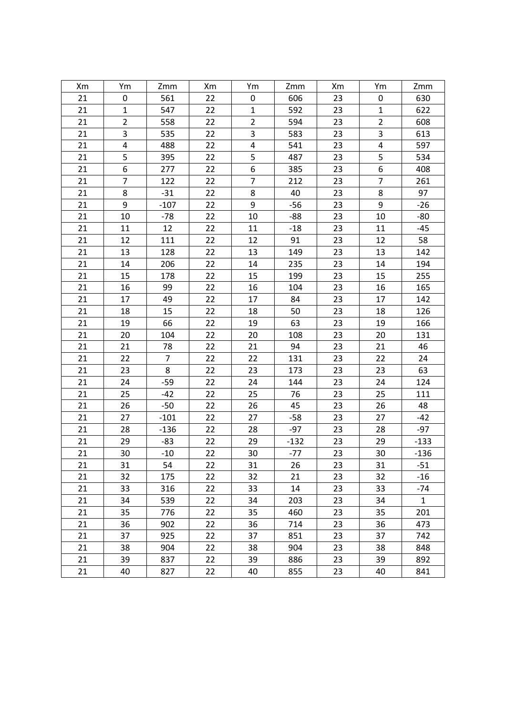| Xm | Ym             | Zmm            | Xm | Ym             | Zmm    | Xm | Ym                      | Zmm          |
|----|----------------|----------------|----|----------------|--------|----|-------------------------|--------------|
| 21 | 0              | 561            | 22 | $\pmb{0}$      | 606    | 23 | 0                       | 630          |
| 21 | $\mathbf{1}$   | 547            | 22 | $\mathbf{1}$   | 592    | 23 | $\mathbf 1$             | 622          |
| 21 | $\overline{2}$ | 558            | 22 | $\overline{2}$ | 594    | 23 | $\overline{2}$          | 608          |
| 21 | 3              | 535            | 22 | 3              | 583    | 23 | $\mathsf 3$             | 613          |
| 21 | 4              | 488            | 22 | 4              | 541    | 23 | $\overline{\mathbf{4}}$ | 597          |
| 21 | 5              | 395            | 22 | 5              | 487    | 23 | 5                       | 534          |
| 21 | 6              | 277            | 22 | 6              | 385    | 23 | $\boldsymbol{6}$        | 408          |
| 21 | $\overline{7}$ | 122            | 22 | $\overline{7}$ | 212    | 23 | $\overline{7}$          | 261          |
| 21 | 8              | $-31$          | 22 | 8              | 40     | 23 | 8                       | 97           |
| 21 | 9              | $-107$         | 22 | 9              | $-56$  | 23 | 9                       | $-26$        |
| 21 | 10             | $-78$          | 22 | 10             | $-88$  | 23 | 10                      | $-80$        |
| 21 | 11             | 12             | 22 | 11             | $-18$  | 23 | 11                      | $-45$        |
| 21 | 12             | 111            | 22 | 12             | 91     | 23 | 12                      | 58           |
| 21 | 13             | 128            | 22 | 13             | 149    | 23 | 13                      | 142          |
| 21 | 14             | 206            | 22 | 14             | 235    | 23 | 14                      | 194          |
| 21 | 15             | 178            | 22 | 15             | 199    | 23 | 15                      | 255          |
| 21 | 16             | 99             | 22 | 16             | 104    | 23 | 16                      | 165          |
| 21 | 17             | 49             | 22 | 17             | 84     | 23 | 17                      | 142          |
| 21 | 18             | 15             | 22 | 18             | 50     | 23 | 18                      | 126          |
| 21 | 19             | 66             | 22 | 19             | 63     | 23 | 19                      | 166          |
| 21 | 20             | 104            | 22 | 20             | 108    | 23 | 20                      | 131          |
| 21 | 21             | 78             | 22 | 21             | 94     | 23 | 21                      | 46           |
| 21 | 22             | $\overline{7}$ | 22 | 22             | 131    | 23 | 22                      | 24           |
| 21 | 23             | 8              | 22 | 23             | 173    | 23 | 23                      | 63           |
| 21 | 24             | $-59$          | 22 | 24             | 144    | 23 | 24                      | 124          |
| 21 | 25             | $-42$          | 22 | 25             | 76     | 23 | 25                      | 111          |
| 21 | 26             | $-50$          | 22 | 26             | 45     | 23 | 26                      | 48           |
| 21 | 27             | $-101$         | 22 | 27             | $-58$  | 23 | 27                      | $-42$        |
| 21 | 28             | $-136$         | 22 | 28             | $-97$  | 23 | 28                      | $-97$        |
| 21 | 29             | -83            | 22 | 29             | $-132$ | 23 | 29                      | $-133$       |
| 21 | 30             | $-10$          | 22 | $30\,$         | $-77$  | 23 | 30                      | $-136$       |
| 21 | 31             | 54             | 22 | 31             | 26     | 23 | 31                      | $-51$        |
| 21 | 32             | 175            | 22 | 32             | 21     | 23 | 32                      | $-16$        |
| 21 | 33             | 316            | 22 | 33             | 14     | 23 | 33                      | $-74$        |
| 21 | 34             | 539            | 22 | 34             | 203    | 23 | 34                      | $\mathbf{1}$ |
| 21 | 35             | 776            | 22 | 35             | 460    | 23 | 35                      | 201          |
| 21 | 36             | 902            | 22 | 36             | 714    | 23 | 36                      | 473          |
| 21 | 37             | 925            | 22 | 37             | 851    | 23 | 37                      | 742          |
| 21 | 38             | 904            | 22 | 38             | 904    | 23 | 38                      | 848          |
| 21 | 39             | 837            | 22 | 39             | 886    | 23 | 39                      | 892          |
| 21 | 40             | 827            | 22 | 40             | 855    | 23 | 40                      | 841          |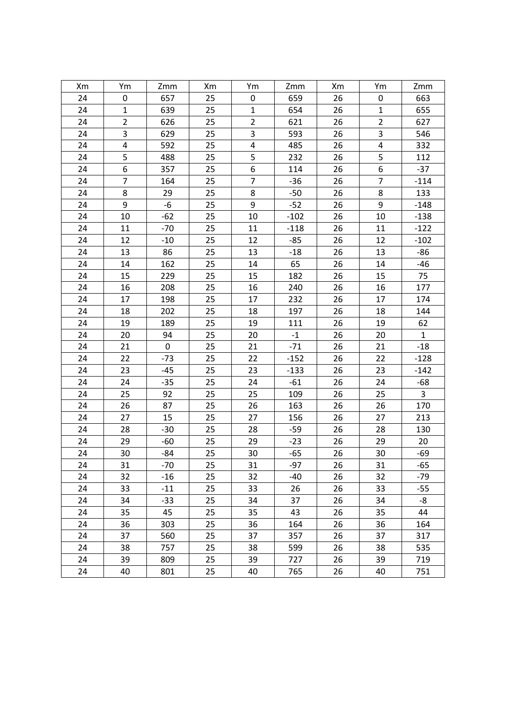| Xm | Ym             | Zmm         | Xm | Ym             | Zmm           | Xm | Ym                      | Zmm          |
|----|----------------|-------------|----|----------------|---------------|----|-------------------------|--------------|
| 24 | 0              | 657         | 25 | $\pmb{0}$      | 659           | 26 | 0                       | 663          |
| 24 | $\mathbf{1}$   | 639         | 25 | $\mathbf{1}$   | 654           | 26 | $\mathbf{1}$            | 655          |
| 24 | $\overline{2}$ | 626         | 25 | $\overline{2}$ | 621           | 26 | $\overline{2}$          | 627          |
| 24 | 3              | 629         | 25 | 3              | 593           | 26 | $\mathsf 3$             | 546          |
| 24 | 4              | 592         | 25 | 4              | 485           | 26 | $\overline{\mathbf{4}}$ | 332          |
| 24 | 5              | 488         | 25 | 5              | 232           | 26 | 5                       | 112          |
| 24 | 6              | 357         | 25 | 6              | 114           | 26 | $\boldsymbol{6}$        | $-37$        |
| 24 | $\overline{7}$ | 164         | 25 | $\overline{7}$ | $-36$         | 26 | $\overline{7}$          | $-114$       |
| 24 | 8              | 29          | 25 | 8              | $-50$         | 26 | 8                       | 133          |
| 24 | 9              | $-6$        | 25 | 9              | $-52$         | 26 | 9                       | $-148$       |
| 24 | 10             | $-62$       | 25 | 10             | $-102$        | 26 | 10                      | $-138$       |
| 24 | 11             | $-70$       | 25 | 11             | $-118$        | 26 | 11                      | $-122$       |
| 24 | 12             | $-10$       | 25 | 12             | $-85$         | 26 | 12                      | $-102$       |
| 24 | 13             | 86          | 25 | 13             | $-18$         | 26 | 13                      | $-86$        |
| 24 | 14             | 162         | 25 | 14             | 65            | 26 | 14                      | $-46$        |
| 24 | 15             | 229         | 25 | 15             | 182           | 26 | 15                      | 75           |
| 24 | 16             | 208         | 25 | 16             | 240           | 26 | 16                      | 177          |
| 24 | 17             | 198         | 25 | 17             | 232           | 26 | 17                      | 174          |
| 24 | 18             | 202         | 25 | 18             | 197           | 26 | 18                      | 144          |
| 24 | 19             | 189         | 25 | 19             | 111           | 26 | 19                      | 62           |
| 24 | 20             | 94          | 25 | 20             | $\textbf{-1}$ | 26 | 20                      | $\mathbf{1}$ |
| 24 | 21             | $\mathbf 0$ | 25 | 21             | $-71$         | 26 | 21                      | $-18$        |
| 24 | 22             | $-73$       | 25 | 22             | $-152$        | 26 | 22                      | $-128$       |
| 24 | 23             | $-45$       | 25 | 23             | $-133$        | 26 | 23                      | $-142$       |
| 24 | 24             | $-35$       | 25 | 24             | $-61$         | 26 | 24                      | $-68$        |
| 24 | 25             | 92          | 25 | 25             | 109           | 26 | 25                      | 3            |
| 24 | 26             | 87          | 25 | 26             | 163           | 26 | 26                      | 170          |
| 24 | 27             | 15          | 25 | 27             | 156           | 26 | 27                      | 213          |
| 24 | 28             | $-30$       | 25 | 28             | $-59$         | 26 | 28                      | 130          |
| 24 | 29             | $-60$       | 25 | 29             | $-23$         | 26 | 29                      | 20           |
| 24 | 30             | $-84$       | 25 | 30             | $-65$         | 26 | 30                      | $-69$        |
| 24 | 31             | $-70$       | 25 | 31             | $-97$         | 26 | 31                      | $-65$        |
| 24 | 32             | $-16$       | 25 | 32             | $-40$         | 26 | 32                      | $-79$        |
| 24 | 33             | $-11$       | 25 | 33             | 26            | 26 | 33                      | $-55$        |
| 24 | 34             | $-33$       | 25 | 34             | 37            | 26 | 34                      | -8           |
| 24 | 35             | 45          | 25 | 35             | 43            | 26 | 35                      | 44           |
| 24 | 36             | 303         | 25 | 36             | 164           | 26 | 36                      | 164          |
| 24 | 37             | 560         | 25 | 37             | 357           | 26 | 37                      | 317          |
| 24 | 38             | 757         | 25 | 38             | 599           | 26 | 38                      | 535          |
| 24 | 39             | 809         | 25 | 39             | 727           | 26 | 39                      | 719          |
| 24 | 40             | 801         | 25 | 40             | 765           | 26 | 40                      | 751          |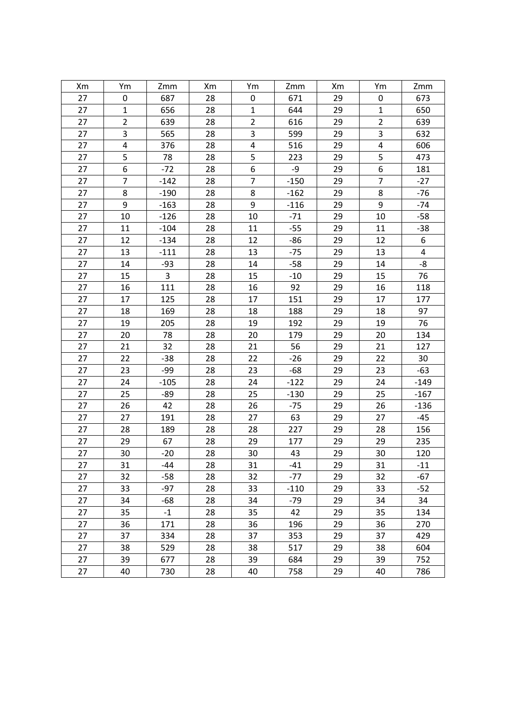| Xm | Ym                      | Zmm    | Xm | Ym             | Zmm    | Xm | Ym             | Zmm                     |
|----|-------------------------|--------|----|----------------|--------|----|----------------|-------------------------|
| 27 | 0                       | 687    | 28 | $\pmb{0}$      | 671    | 29 | 0              | 673                     |
| 27 | $\mathbf{1}$            | 656    | 28 | $\mathbf{1}$   | 644    | 29 | $\mathbf{1}$   | 650                     |
| 27 | $\overline{2}$          | 639    | 28 | $\overline{2}$ | 616    | 29 | $\overline{2}$ | 639                     |
| 27 | 3                       | 565    | 28 | 3              | 599    | 29 | 3              | 632                     |
| 27 | $\overline{\mathbf{4}}$ | 376    | 28 | $\pmb{4}$      | 516    | 29 | 4              | 606                     |
| 27 | 5                       | 78     | 28 | 5              | 223    | 29 | 5              | 473                     |
| 27 | 6                       | $-72$  | 28 | 6              | -9     | 29 | 6              | 181                     |
| 27 | $\overline{7}$          | $-142$ | 28 | $\overline{7}$ | $-150$ | 29 | $\overline{7}$ | $-27$                   |
| 27 | 8                       | $-190$ | 28 | 8              | $-162$ | 29 | 8              | $-76$                   |
| 27 | 9                       | $-163$ | 28 | 9              | $-116$ | 29 | 9              | $-74$                   |
| 27 | 10                      | $-126$ | 28 | 10             | $-71$  | 29 | 10             | $-58$                   |
| 27 | 11                      | $-104$ | 28 | 11             | $-55$  | 29 | 11             | $-38$                   |
| 27 | 12                      | $-134$ | 28 | 12             | $-86$  | 29 | 12             | 6                       |
| 27 | 13                      | $-111$ | 28 | 13             | $-75$  | 29 | 13             | $\overline{\mathbf{4}}$ |
| 27 | 14                      | $-93$  | 28 | 14             | $-58$  | 29 | 14             | -8                      |
| 27 | 15                      | 3      | 28 | 15             | $-10$  | 29 | 15             | 76                      |
| 27 | 16                      | 111    | 28 | 16             | 92     | 29 | 16             | 118                     |
| 27 | 17                      | 125    | 28 | 17             | 151    | 29 | 17             | 177                     |
| 27 | 18                      | 169    | 28 | 18             | 188    | 29 | 18             | 97                      |
| 27 | 19                      | 205    | 28 | 19             | 192    | 29 | 19             | 76                      |
| 27 | 20                      | 78     | 28 | 20             | 179    | 29 | 20             | 134                     |
| 27 | 21                      | 32     | 28 | 21             | 56     | 29 | 21             | 127                     |
| 27 | 22                      | $-38$  | 28 | 22             | $-26$  | 29 | 22             | 30                      |
| 27 | 23                      | -99    | 28 | 23             | $-68$  | 29 | 23             | $-63$                   |
| 27 | 24                      | $-105$ | 28 | 24             | $-122$ | 29 | 24             | $-149$                  |
| 27 | 25                      | $-89$  | 28 | 25             | $-130$ | 29 | 25             | $-167$                  |
| 27 | 26                      | 42     | 28 | 26             | $-75$  | 29 | 26             | $-136$                  |
| 27 | 27                      | 191    | 28 | 27             | 63     | 29 | 27             | $-45$                   |
| 27 | 28                      | 189    | 28 | 28             | 227    | 29 | 28             | 156                     |
| 27 | 29                      | 67     | 28 | 29             | 177    | 29 | 29             | 235                     |
| 27 | 30                      | $-20$  | 28 | 30             | 43     | 29 | 30             | 120                     |
| 27 | 31                      | -44    | 28 | 31             | $-41$  | 29 | 31             | $-11$                   |
| 27 | 32                      | $-58$  | 28 | 32             | $-77$  | 29 | 32             | $-67$                   |
| 27 | 33                      | $-97$  | 28 | 33             | $-110$ | 29 | 33             | $-52$                   |
| 27 | 34                      | -68    | 28 | 34             | $-79$  | 29 | 34             | 34                      |
| 27 | 35                      | $-1$   | 28 | 35             | 42     | 29 | 35             | 134                     |
| 27 | 36                      | 171    | 28 | 36             | 196    | 29 | 36             | 270                     |
| 27 | 37                      | 334    | 28 | 37             | 353    | 29 | 37             | 429                     |
| 27 | 38                      | 529    | 28 | 38             | 517    | 29 | 38             | 604                     |
| 27 | 39                      | 677    | 28 | 39             | 684    | 29 | 39             | 752                     |
| 27 | 40                      | 730    | 28 | 40             | 758    | 29 | 40             | 786                     |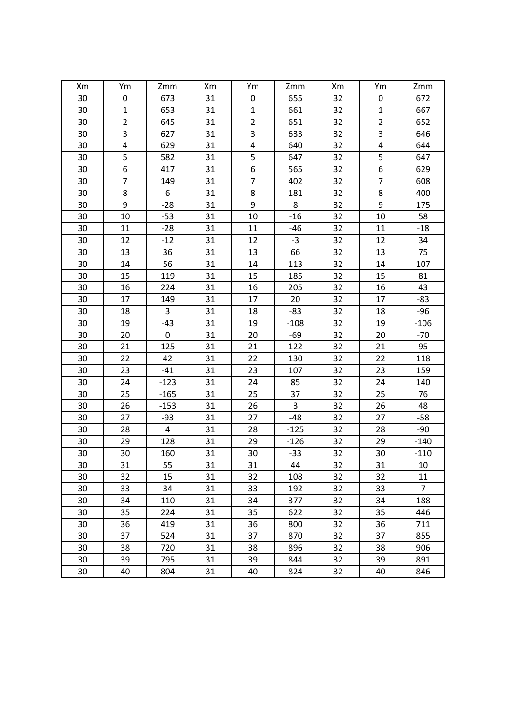| Xm | Ym             | Zmm    | Xm | Ym             | Zmm    | Xm | Ym             | Zmm            |
|----|----------------|--------|----|----------------|--------|----|----------------|----------------|
| 30 | 0              | 673    | 31 | $\pmb{0}$      | 655    | 32 | 0              | 672            |
| 30 | $\mathbf{1}$   | 653    | 31 | $\mathbf{1}$   | 661    | 32 | $\mathbf{1}$   | 667            |
| 30 | $\overline{2}$ | 645    | 31 | $\overline{2}$ | 651    | 32 | $\overline{2}$ | 652            |
| 30 | 3              | 627    | 31 | 3              | 633    | 32 | 3              | 646            |
| 30 | 4              | 629    | 31 | 4              | 640    | 32 | $\pmb{4}$      | 644            |
| 30 | 5              | 582    | 31 | 5              | 647    | 32 | 5              | 647            |
| 30 | 6              | 417    | 31 | 6              | 565    | 32 | 6              | 629            |
| 30 | $\overline{7}$ | 149    | 31 | $\overline{7}$ | 402    | 32 | $\overline{7}$ | 608            |
| 30 | 8              | 6      | 31 | 8              | 181    | 32 | 8              | 400            |
| 30 | 9              | $-28$  | 31 | 9              | 8      | 32 | 9              | 175            |
| 30 | 10             | $-53$  | 31 | 10             | $-16$  | 32 | 10             | 58             |
| 30 | 11             | $-28$  | 31 | 11             | -46    | 32 | 11             | $-18$          |
| 30 | 12             | $-12$  | 31 | 12             | $-3$   | 32 | 12             | 34             |
| 30 | 13             | 36     | 31 | 13             | 66     | 32 | 13             | 75             |
| 30 | 14             | 56     | 31 | 14             | 113    | 32 | 14             | 107            |
| 30 | 15             | 119    | 31 | 15             | 185    | 32 | 15             | 81             |
| 30 | 16             | 224    | 31 | 16             | 205    | 32 | 16             | 43             |
| 30 | 17             | 149    | 31 | 17             | 20     | 32 | 17             | $-83$          |
| 30 | 18             | 3      | 31 | 18             | $-83$  | 32 | 18             | $-96$          |
| 30 | 19             | $-43$  | 31 | 19             | $-108$ | 32 | 19             | $-106$         |
| 30 | 20             | 0      | 31 | 20             | $-69$  | 32 | 20             | $-70$          |
| 30 | 21             | 125    | 31 | 21             | 122    | 32 | 21             | 95             |
| 30 | 22             | 42     | 31 | 22             | 130    | 32 | 22             | 118            |
| 30 | 23             | $-41$  | 31 | 23             | 107    | 32 | 23             | 159            |
| 30 | 24             | $-123$ | 31 | 24             | 85     | 32 | 24             | 140            |
| 30 | 25             | $-165$ | 31 | 25             | 37     | 32 | 25             | 76             |
| 30 | 26             | $-153$ | 31 | 26             | 3      | 32 | 26             | 48             |
| 30 | 27             | $-93$  | 31 | 27             | $-48$  | 32 | 27             | $-58$          |
| 30 | 28             | 4      | 31 | 28             | $-125$ | 32 | 28             | $-90$          |
| 30 | 29             | 128    | 31 | 29             | $-126$ | 32 | 29             | $-140$         |
| 30 | 30             | 160    | 31 | 30             | $-33$  | 32 | 30             | $-110$         |
| 30 | 31             | 55     | 31 | 31             | 44     | 32 | 31             | 10             |
| 30 | 32             | 15     | 31 | 32             | 108    | 32 | 32             | 11             |
| 30 | 33             | 34     | 31 | 33             | 192    | 32 | 33             | $\overline{7}$ |
| 30 | 34             | 110    | 31 | 34             | 377    | 32 | 34             | 188            |
| 30 | 35             | 224    | 31 | 35             | 622    | 32 | 35             | 446            |
| 30 | 36             | 419    | 31 | 36             | 800    | 32 | 36             | 711            |
| 30 | 37             | 524    | 31 | 37             | 870    | 32 | 37             | 855            |
| 30 | 38             | 720    | 31 | 38             | 896    | 32 | 38             | 906            |
| 30 | 39             | 795    | 31 | 39             | 844    | 32 | 39             | 891            |
| 30 | 40             | 804    | 31 | 40             | 824    | 32 | 40             | 846            |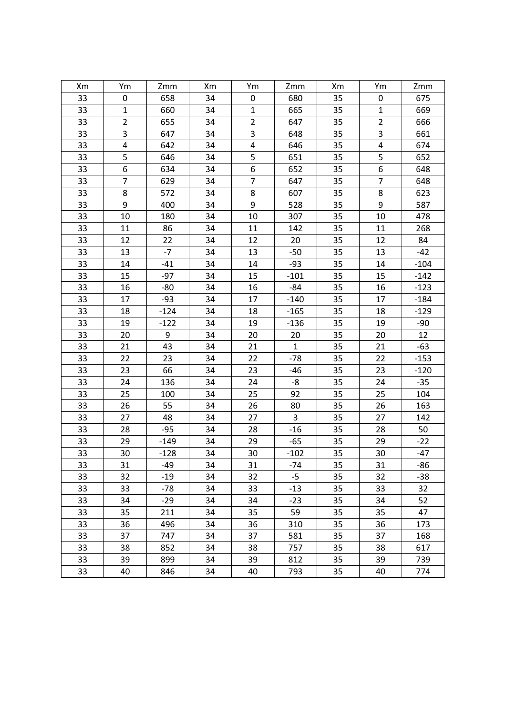| Xm | Ym             | Zmm    | Xm | Ym               | Zmm                     | Xm | Ym             | Zmm    |
|----|----------------|--------|----|------------------|-------------------------|----|----------------|--------|
| 33 | 0              | 658    | 34 | 0                | 680                     | 35 | 0              | 675    |
| 33 | $\mathbf{1}$   | 660    | 34 | $\mathbf{1}$     | 665                     | 35 | $\mathbf{1}$   | 669    |
| 33 | $\overline{2}$ | 655    | 34 | $\overline{2}$   | 647                     | 35 | $\overline{2}$ | 666    |
| 33 | 3              | 647    | 34 | 3                | 648                     | 35 | 3              | 661    |
| 33 | 4              | 642    | 34 | 4                | 646                     | 35 | 4              | 674    |
| 33 | 5              | 646    | 34 | 5                | 651                     | 35 | 5              | 652    |
| 33 | 6              | 634    | 34 | 6                | 652                     | 35 | 6              | 648    |
| 33 | $\overline{7}$ | 629    | 34 | $\overline{7}$   | 647                     | 35 | $\overline{7}$ | 648    |
| 33 | 8              | 572    | 34 | 8                | 607                     | 35 | 8              | 623    |
| 33 | 9              | 400    | 34 | $\boldsymbol{9}$ | 528                     | 35 | 9              | 587    |
| 33 | 10             | 180    | 34 | 10               | 307                     | 35 | 10             | 478    |
| 33 | 11             | 86     | 34 | 11               | 142                     | 35 | 11             | 268    |
| 33 | 12             | 22     | 34 | 12               | 20                      | 35 | 12             | 84     |
| 33 | 13             | $-7$   | 34 | 13               | $-50$                   | 35 | 13             | $-42$  |
| 33 | 14             | $-41$  | 34 | 14               | $-93$                   | 35 | 14             | $-104$ |
| 33 | 15             | $-97$  | 34 | 15               | $-101$                  | 35 | 15             | $-142$ |
| 33 | 16             | $-80$  | 34 | 16               | $-84$                   | 35 | 16             | $-123$ |
| 33 | 17             | $-93$  | 34 | 17               | $-140$                  | 35 | 17             | $-184$ |
| 33 | 18             | $-124$ | 34 | 18               | $-165$                  | 35 | 18             | $-129$ |
| 33 | 19             | $-122$ | 34 | 19               | $-136$                  | 35 | 19             | $-90$  |
| 33 | 20             | 9      | 34 | 20               | 20                      | 35 | 20             | 12     |
| 33 | 21             | 43     | 34 | 21               | $\mathbf{1}$            | 35 | 21             | $-63$  |
| 33 | 22             | 23     | 34 | 22               | $-78$                   | 35 | 22             | $-153$ |
| 33 | 23             | 66     | 34 | 23               | -46                     | 35 | 23             | $-120$ |
| 33 | 24             | 136    | 34 | 24               | -8                      | 35 | 24             | $-35$  |
| 33 | 25             | 100    | 34 | 25               | 92                      | 35 | 25             | 104    |
| 33 | 26             | 55     | 34 | 26               | 80                      | 35 | 26             | 163    |
| 33 | 27             | 48     | 34 | 27               | $\overline{\mathbf{3}}$ | 35 | 27             | 142    |
| 33 | 28             | $-95$  | 34 | 28               | $-16$                   | 35 | 28             | 50     |
| 33 | 29             | $-149$ | 34 | 29               | $-65$                   | 35 | 29             | $-22$  |
| 33 | 30             | $-128$ | 34 | 30               | $-102$                  | 35 | 30             | $-47$  |
| 33 | 31             | -49    | 34 | 31               | $-74$                   | 35 | 31             | $-86$  |
| 33 | 32             | $-19$  | 34 | 32               | $-5$                    | 35 | 32             | $-38$  |
| 33 | 33             | $-78$  | 34 | 33               | $-13$                   | 35 | 33             | 32     |
| 33 | 34             | $-29$  | 34 | 34               | $-23$                   | 35 | 34             | 52     |
| 33 | 35             | 211    | 34 | 35               | 59                      | 35 | 35             | 47     |
| 33 | 36             | 496    | 34 | 36               | 310                     | 35 | 36             | 173    |
| 33 | 37             | 747    | 34 | 37               | 581                     | 35 | 37             | 168    |
| 33 | 38             | 852    | 34 | 38               | 757                     | 35 | 38             | 617    |
| 33 | 39             | 899    | 34 | 39               | 812                     | 35 | 39             | 739    |
| 33 | 40             | 846    | 34 | 40               | 793                     | 35 | 40             | 774    |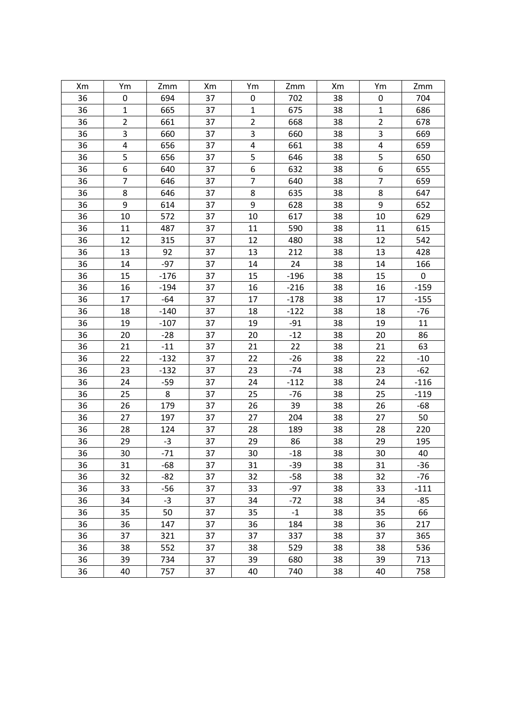| Xm | Ym             | Zmm    | Xm | Ym               | Zmm    | Xm | Ym             | Zmm       |
|----|----------------|--------|----|------------------|--------|----|----------------|-----------|
| 36 | 0              | 694    | 37 | $\pmb{0}$        | 702    | 38 | 0              | 704       |
| 36 | $\mathbf{1}$   | 665    | 37 | $\mathbf{1}$     | 675    | 38 | $\mathbf{1}$   | 686       |
| 36 | $\overline{2}$ | 661    | 37 | $\overline{2}$   | 668    | 38 | $\overline{2}$ | 678       |
| 36 | 3              | 660    | 37 | 3                | 660    | 38 | 3              | 669       |
| 36 | 4              | 656    | 37 | $\pmb{4}$        | 661    | 38 | 4              | 659       |
| 36 | 5              | 656    | 37 | 5                | 646    | 38 | 5              | 650       |
| 36 | 6              | 640    | 37 | $\boldsymbol{6}$ | 632    | 38 | 6              | 655       |
| 36 | $\overline{7}$ | 646    | 37 | $\overline{7}$   | 640    | 38 | $\overline{7}$ | 659       |
| 36 | 8              | 646    | 37 | $\bf 8$          | 635    | 38 | 8              | 647       |
| 36 | 9              | 614    | 37 | 9                | 628    | 38 | 9              | 652       |
| 36 | 10             | 572    | 37 | 10               | 617    | 38 | 10             | 629       |
| 36 | 11             | 487    | 37 | 11               | 590    | 38 | 11             | 615       |
| 36 | 12             | 315    | 37 | 12               | 480    | 38 | 12             | 542       |
| 36 | 13             | 92     | 37 | 13               | 212    | 38 | 13             | 428       |
| 36 | 14             | $-97$  | 37 | 14               | 24     | 38 | 14             | 166       |
| 36 | 15             | $-176$ | 37 | 15               | $-196$ | 38 | 15             | $\pmb{0}$ |
| 36 | 16             | $-194$ | 37 | 16               | $-216$ | 38 | 16             | $-159$    |
| 36 | 17             | $-64$  | 37 | 17               | $-178$ | 38 | 17             | $-155$    |
| 36 | 18             | $-140$ | 37 | 18               | $-122$ | 38 | 18             | $-76$     |
| 36 | 19             | $-107$ | 37 | 19               | $-91$  | 38 | 19             | 11        |
| 36 | 20             | $-28$  | 37 | 20               | $-12$  | 38 | 20             | 86        |
| 36 | 21             | $-11$  | 37 | 21               | 22     | 38 | 21             | 63        |
| 36 | 22             | $-132$ | 37 | 22               | $-26$  | 38 | 22             | $-10$     |
| 36 | 23             | $-132$ | 37 | 23               | $-74$  | 38 | 23             | $-62$     |
| 36 | 24             | $-59$  | 37 | 24               | $-112$ | 38 | 24             | $-116$    |
| 36 | 25             | 8      | 37 | 25               | $-76$  | 38 | 25             | $-119$    |
| 36 | 26             | 179    | 37 | 26               | 39     | 38 | 26             | $-68$     |
| 36 | 27             | 197    | 37 | 27               | 204    | 38 | 27             | 50        |
| 36 | 28             | 124    | 37 | 28               | 189    | 38 | 28             | 220       |
| 36 | 29             | $-3$   | 37 | 29               | 86     | 38 | 29             | 195       |
| 36 | 30             | $-71$  | 37 | 30               | $-18$  | 38 | 30             | 40        |
| 36 | 31             | $-68$  | 37 | 31               | $-39$  | 38 | 31             | $-36$     |
| 36 | 32             | -82    | 37 | 32               | $-58$  | 38 | 32             | $-76$     |
| 36 | 33             | $-56$  | 37 | 33               | $-97$  | 38 | 33             | $-111$    |
| 36 | 34             | $-3$   | 37 | 34               | -72    | 38 | 34             | -85       |
| 36 | 35             | 50     | 37 | 35               | $-1$   | 38 | 35             | 66        |
| 36 | 36             | 147    | 37 | 36               | 184    | 38 | 36             | 217       |
| 36 | 37             | 321    | 37 | 37               | 337    | 38 | 37             | 365       |
| 36 | 38             | 552    | 37 | 38               | 529    | 38 | 38             | 536       |
| 36 | 39             | 734    | 37 | 39               | 680    | 38 | 39             | 713       |
| 36 | 40             | 757    | 37 | 40               | 740    | 38 | 40             | 758       |